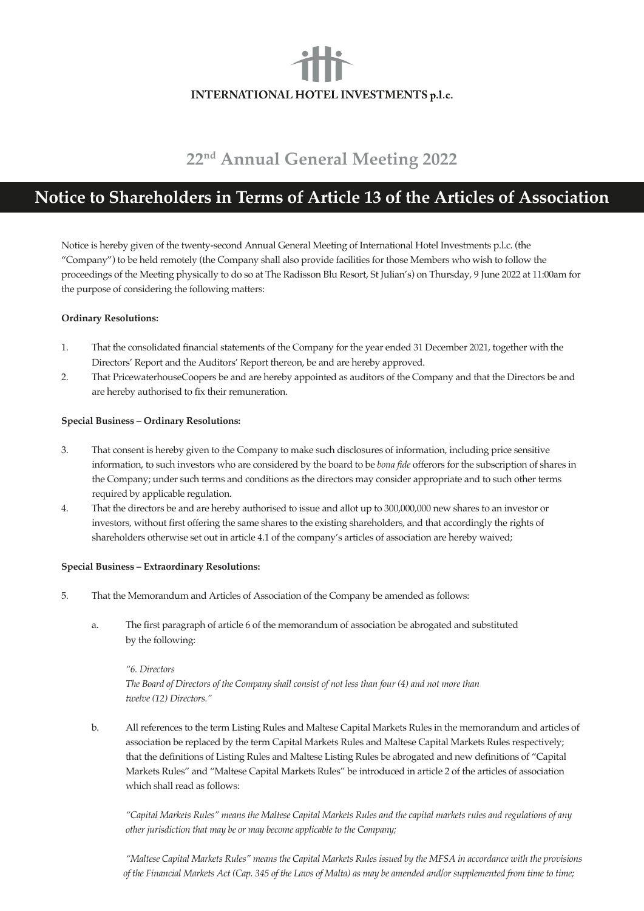# INTERNATIONAL HOTEL INVESTMENTS p.l.c.

# **22nd Annual General Meeting 2022**

# **Notice to Shareholders in Terms of Article 13 of the Articles of Association**

Notice is hereby given of the twenty-second Annual General Meeting of International Hotel Investments p.l.c. (the "Company") to be held remotely (the Company shall also provide facilities for those Members who wish to follow the proceedings of the Meeting physically to do so at The Radisson Blu Resort, St Julian's) on Thursday, 9 June 2022 at 11:00am for the purpose of considering the following matters:

# **Ordinary Resolutions:**

- 1. That the consolidated financial statements of the Company for the year ended 31 December 2021, together with the Directors' Report and the Auditors' Report thereon, be and are hereby approved.
- 2. That PricewaterhouseCoopers be and are hereby appointed as auditors of the Company and that the Directors be and are hereby authorised to fix their remuneration.

# **Special Business – Ordinary Resolutions:**

- 3. That consent is hereby given to the Company to make such disclosures of information, including price sensitive information, to such investors who are considered by the board to be *bona fide* offerors for the subscription of shares in the Company; under such terms and conditions as the directors may consider appropriate and to such other terms required by applicable regulation.
- 4. That the directors be and are hereby authorised to issue and allot up to 300,000,000 new shares to an investor or investors, without first offering the same shares to the existing shareholders, and that accordingly the rights of shareholders otherwise set out in article 4.1 of the company's articles of association are hereby waived;

# **Special Business – Extraordinary Resolutions:**

- 5. That the Memorandum and Articles of Association of the Company be amended as follows:
	- a. The first paragraph of article 6 of the memorandum of association be abrogated and substituted by the following:

 *"6. Directors The Board of Directors of the Company shall consist of not less than four (4) and not more than twelve (12) Directors."*

b. All references to the term Listing Rules and Maltese Capital Markets Rules in the memorandum and articles of association be replaced by the term Capital Markets Rules and Maltese Capital Markets Rules respectively; that the definitions of Listing Rules and Maltese Listing Rules be abrogated and new definitions of "Capital Markets Rules" and "Maltese Capital Markets Rules" be introduced in article 2 of the articles of association which shall read as follows:

 *"Capital Markets Rules" means the Maltese Capital Markets Rules and the capital markets rules and regulations of any other jurisdiction that may be or may become applicable to the Company;*

 *"Maltese Capital Markets Rules" means the Capital Markets Rules issued by the MFSA in accordance with the provisions of the Financial Markets Act (Cap. 345 of the Laws of Malta) as may be amended and/or supplemented from time to time;*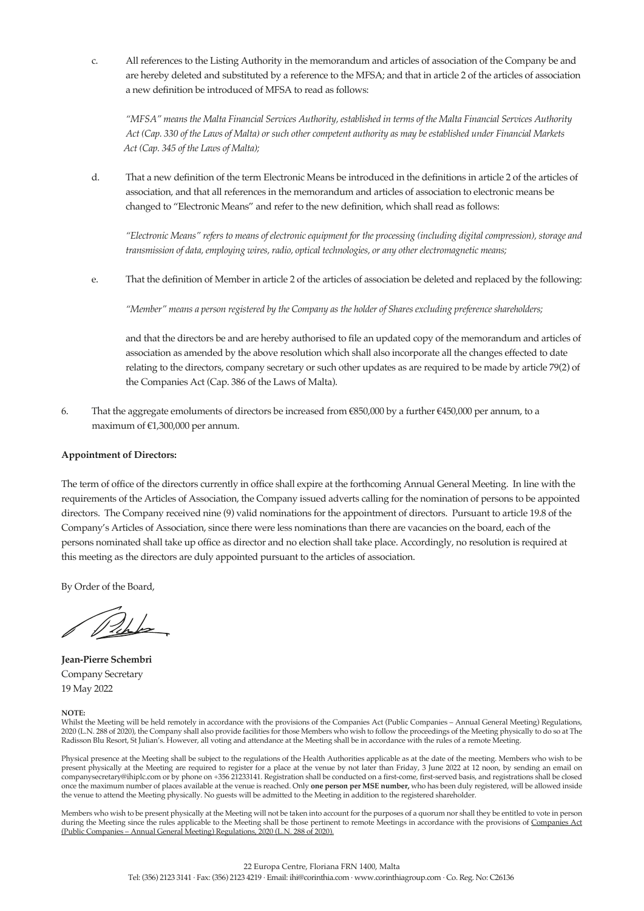c. All references to the Listing Authority in the memorandum and articles of association of the Company be and are hereby deleted and substituted by a reference to the MFSA; and that in article 2 of the articles of association a new definition be introduced of MFSA to read as follows:

*"MFSA" means the Malta Financial Services Authority, established in terms of the Malta Financial Services Authority Act (Cap. 330 of the Laws of Malta) or such other competent authority as may be established under Financial Markets Act (Cap. 345 of the Laws of Malta);*

d. That a new definition of the term Electronic Means be introduced in the definitions in article 2 of the articles of association, and that all references in the memorandum and articles of association to electronic means be changed to "Electronic Means" and refer to the new definition, which shall read as follows:

*"Electronic Means" refers to means of electronic equipment for the processing (including digital compression), storage and transmission of data, employing wires, radio, optical technologies, or any other electromagnetic means;*

e. That the definition of Member in article 2 of the articles of association be deleted and replaced by the following:

*"Member" means a person registered by the Company as the holder of Shares excluding preference shareholders;*

 and that the directors be and are hereby authorised to file an updated copy of the memorandum and articles of association as amended by the above resolution which shall also incorporate all the changes effected to date relating to the directors, company secretary or such other updates as are required to be made by article 79(2) of the Companies Act (Cap. 386 of the Laws of Malta).

6. That the aggregate emoluments of directors be increased from €850,000 by a further €450,000 per annum, to a maximum of €1,300,000 per annum.

## **Appointment of Directors:**

The term of office of the directors currently in office shall expire at the forthcoming Annual General Meeting. In line with the requirements of the Articles of Association, the Company issued adverts calling for the nomination of persons to be appointed directors. The Company received nine (9) valid nominations for the appointment of directors. Pursuant to article 19.8 of the Company's Articles of Association, since there were less nominations than there are vacancies on the board, each of the persons nominated shall take up office as director and no election shall take place. Accordingly, no resolution is required at this meeting as the directors are duly appointed pursuant to the articles of association.

By Order of the Board,

*Delses* 

**Jean-Pierre Schembri** Company Secretary 19 May 2022

### **NOTE:**

Whilst the Meeting will be held remotely in accordance with the provisions of the Companies Act (Public Companies – Annual General Meeting) Regulations, 2020 (L.N. 288 of 2020), the Company shall also provide facilities for those Members who wish to follow the proceedings of the Meeting physically to do so at The Radisson Blu Resort, St Julian's. However, all voting and attendance at the Meeting shall be in accordance with the rules of a remote Meeting.

Physical presence at the Meeting shall be subject to the regulations of the Health Authorities applicable as at the date of the meeting. Members who wish to be present physically at the Meeting are required to register for a place at the venue by not later than Friday, 3 June 2022 at 12 noon, by sending an email on companysecretary@ihiplc.com or by phone on +356 21233141. Registration shall be conducted on a first-come, first-served basis, and registrations shall be closed once the maximum number of places available at the venue is reached. Only **one person per MSE number,** who has been duly registered, will be allowed inside the venue to attend the Meeting physically. No guests will be admitted to the Meeting in addition to the registered shareholder.

Members who wish to be present physically at the Meeting will not be taken into account for the purposes of a quorum nor shall they be entitled to vote in person during the Meeting since the rules applicable to the Meeting shall be those pertinent to remote Meetings in accordance with the provisions of Companies Act (Public Companies – Annual General Meeting) Regulations, 2020 (L.N. 288 of 2020).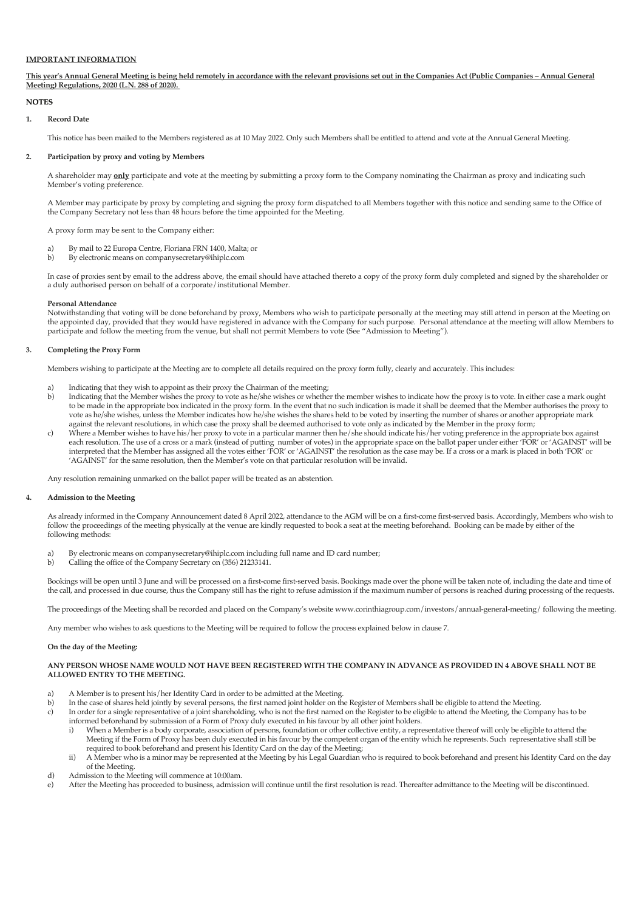#### **IMPORTANT INFORMATION**

**This year's Annual General Meeting is being held remotely in accordance with the relevant provisions set out in the Companies Act (Public Companies – Annual General Meeting) Regulations, 2020 (L.N. 288 of 2020).** 

#### **NOTES**

#### **1. Record Date**

This notice has been mailed to the Members registered as at 10 May 2022. Only such Members shall be entitled to attend and vote at the Annual General Meeting.

#### **Participation by proxy and voting by Members 2.**

A shareholder may **only** participate and vote at the meeting by submitting a proxy form to the Company nominating the Chairman as proxy and indicating such Member's voting preference.

A Member may participate by proxy by completing and signing the proxy form dispatched to all Members together with this notice and sending same to the Office of the Company Secretary not less than 48 hours before the time appointed for the Meeting.

A proxy form may be sent to the Company either:

- a) By mail to 22 Europa Centre, Floriana FRN 1400, Malta; or<br>
By electronic means on company secretary@ihiplc.com
- b) By electronic means on companysecretary@ihiplc.com

In case of proxies sent by email to the address above, the email should have attached thereto a copy of the proxy form duly completed and signed by the shareholder or a duly authorised person on behalf of a corporate/institutional Member.

#### **Personal Attendance**

Notwithstanding that voting will be done beforehand by proxy, Members who wish to participate personally at the meeting may still attend in person at the Meeting on the appointed day, provided that they would have registered in advance with the Company for such purpose. Personal attendance at the meeting will allow Members to participate and follow the meeting from the venue, but shall not permit Members to vote (See "Admission to Meeting").

#### **Completing the Proxy Form 3.**

Members wishing to participate at the Meeting are to complete all details required on the proxy form fully, clearly and accurately. This includes:

- a) Indicating that they wish to appoint as their proxy the Chairman of the meeting;<br>b) Indicating that the Member wishes the proxy to vote as he/she wishes or whethe
- b) Indicating that the Member wishes the proxy to vote as he/she wishes or whether the member wishes to indicate how the proxy is to vote. In either case a mark ought to be made in the appropriate box indicated in the proxy form. In the event that no such indication is made it shall be deemed that the Member authorises the proxy to vote as he/she wishes, unless the Member indicates how he/she wishes the shares held to be voted by inserting the number of shares or another appropriate mark
- against the relevant resolutions, in which case the proxy shall be deemed authorised to vote only as indicated by the Member in the proxy form;<br>Where a Member wishes to have his/her proxy to vote in a particular manner the Where a Member wishes to have his/her proxy to vote in a particular manner then he/she should indicate his/her voting preference in the appropriate box against each resolution. The use of a cross or a mark (instead of putting number of votes) in the appropriate space on the ballot paper under either 'FOR' or 'AGAINST' will be interpreted that the Member has assigned all the votes either 'FOR' or 'AGAINST' the resolution as the case may be. If a cross or a mark is placed in both 'FOR' or 'AGAINST' for the same resolution, then the Member's vote on that particular resolution will be invalid.

Any resolution remaining unmarked on the ballot paper will be treated as an abstention.

#### **Admission to the Meeting 4.**

As already informed in the Company Announcement dated 8 April 2022, attendance to the AGM will be on a first-come first-served basis. Accordingly, Members who wish to follow the proceedings of the meeting physically at the venue are kindly requested to book a seat at the meeting beforehand. Booking can be made by either of the following methods:

- a) By electronic means on companysecretary@ihiplc.com including full name and ID card number;<br>b) Calling the office of the Company Secretary on (356) 21233141.
- b) Calling the office of the Company Secretary on (356) 21233141.

Bookings will be open until 3 June and will be processed on a first-come first-served basis. Bookings made over the phone will be taken note of, including the date and time of the call, and processed in due course, thus the Company still has the right to refuse admission if the maximum number of persons is reached during processing of the requests.

The proceedings of the Meeting shall be recorded and placed on the Company's website www.corinthiagroup.com/investors/annual-general-meeting/ following the meeting.

Any member who wishes to ask questions to the Meeting will be required to follow the process explained below in clause 7.

#### **On the day of the Meeting:**

**ANY PERSON WHOSE NAME WOULD NOT HAVE BEEN REGISTERED WITH THE COMPANY IN ADVANCE AS PROVIDED IN 4 ABOVE SHALL NOT BE ALLOWED ENTRY TO THE MEETING.**

- a) A Member is to present his/her Identity Card in order to be admitted at the Meeting.<br>b) In the case of shares held jointly by several persons, the first named joint holder on the
- b) In the case of shares held jointly by several persons, the first named joint holder on the Register of Members shall be eligible to attend the Meeting.
- c) In order for a single representative of a joint shareholding, who is not the first named on the Register to be eligible to attend the Meeting, the Company has to be informed beforehand by submission of a Form of Proxy duly executed in his favour by all other joint holders.
- i) When a Member is a body corporate, association of persons, foundation or other collective entity, a representative thereof will only be eligible to attend the Meeting if the Form of Proxy has been duly executed in his favour by the competent organ of the entity which he represents. Such representative shall still be required to book beforehand and present his Identity Card on the day of the Meeting;
- ii) A Member who is a minor may be represented at the Meeting by his Legal Guardian who is required to book beforehand and present his Identity Card on the day of the Meeting.
- d) Admission to the Meeting will commence at 10:00am.
- e) After the Meeting has proceeded to business, admission will continue until the first resolution is read. Thereafter admittance to the Meeting will be discontinued.